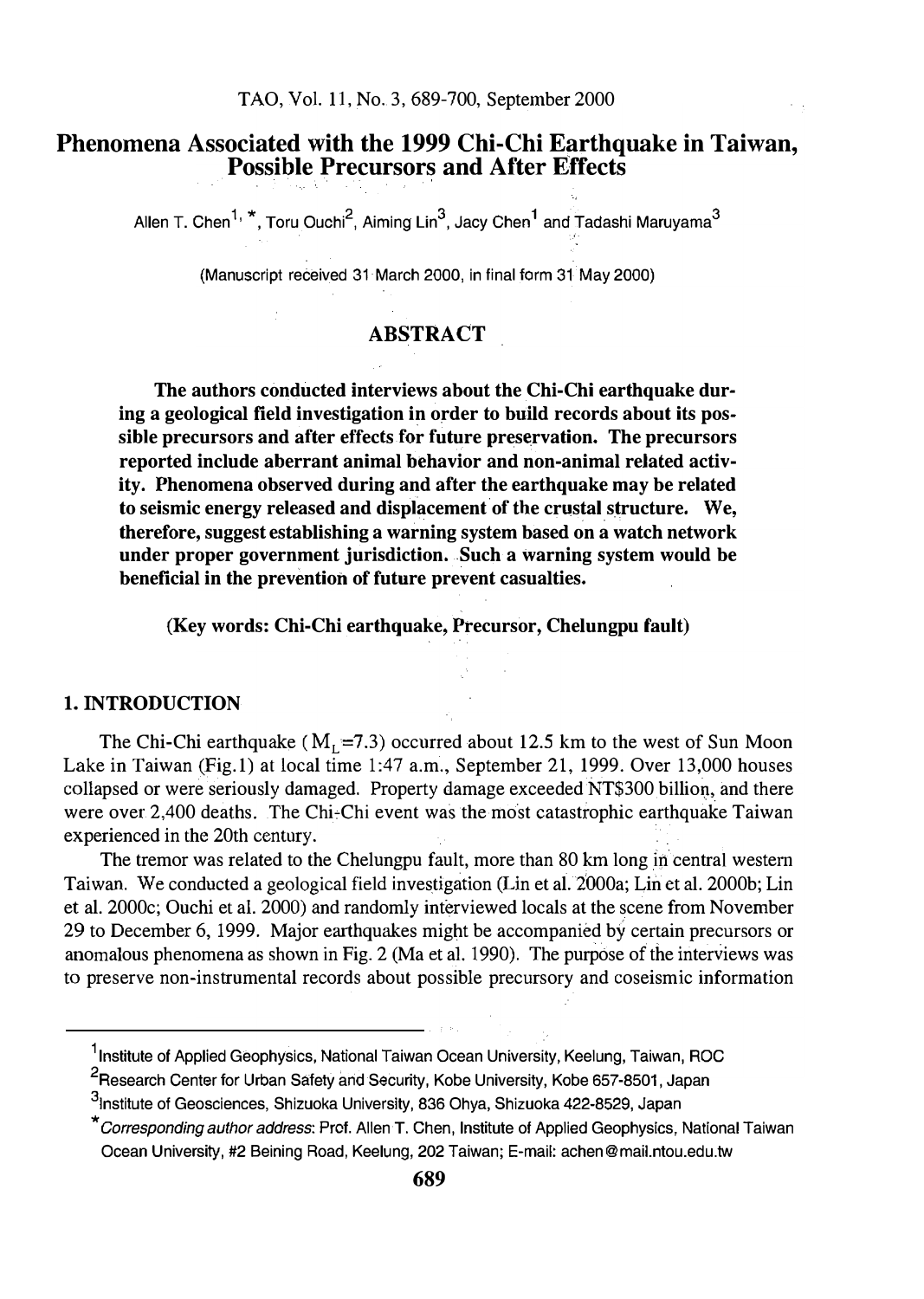### Phenomena Associated with the 1999 Chi-Chi Earthquake in Taiwan, Possible Precursors and After Effects

Allen T. Chen $^{1,\,\,}$ , Toru Ouchi $^2$ , Aiming Lin $^3$ , Jacy Chen $^1$  and Tadashi Maruyama $^3$ 

'. ·'

(Manuscript received 31 March 2000, in final form 31 May 2000)

### **ABSTRACT**

The authors conducted interviews about the Chi-Chi earthquake during a geological field investigation in order to build records about its possible precursors and after effects for future preservation. The precursors reported include aberrant animal behavior and non-animal related activity. Phenomena observed during and after the earthquake may be related to seismic energy released and displacement of the crustal structure. We, therefore, suggest establishing a warning system based on a watch network under proper government jurisdiction. Such a warning system would be beneficial in the prevention of future prevent casualties.

(Key words: Chi-Chi earthquake, Precursor, Chelungpu fault)

#### 1. INTRODUCTION

The Chi-Chi earthquake ( $M_L$ =7.3) occurred about 12.5 km to the west of Sun Moon Lake in Taiwan (Fig.1) at local time 1:47 a.m., September 21, 1999. Over 13,000 houses collapsed or were seriously damaged. Property damage exceeded NT\$300 billion, and there were over 2,400 deaths. The Chi-Chi event was the most catastrophic earthquake Taiwan experienced in the 20th century.

The tremor was related to the Chelungpu fault, more than 80 km long in central western Taiwan. We conducted a geological field investigation (Lin et al.2000a; Lin et al. 2000b; Lin et al. 2000c; Ouchi et al. 2000) and randomly interviewed locals at the scene from November 29 to December 6, 1999. Major earthquakes might be accompanied by certain precursors or anomalous phenomena as shown in Fig. 2 (Ma et al. 1990). The purpose of the interviews was to preserve non-instrumental records about possible precursory and coseismic information

<sup>&</sup>lt;sup>1</sup> Institute of Applied Geophysics, National Taiwan Ocean University, Keelung, Taiwan, ROC

<sup>&</sup>lt;sup>2</sup>Research Center for Urban Safety and Security, Kobe University, Kobe 657-8501, Japan

<sup>3&</sup>lt;br><sup>3</sup>institute of Geosciences, Shizuoka University, 836 Ohya, Shizuoka 422-8529, Japan

<sup>\*</sup>Corresponding author address: Prof. Allen T. Chen, Institute of Applied Geophysics, National Taiwan Ocean University, #2 Seining Road, Keelung, 202 Taiwan; E-mail: achen@mail.ntou.edu.tw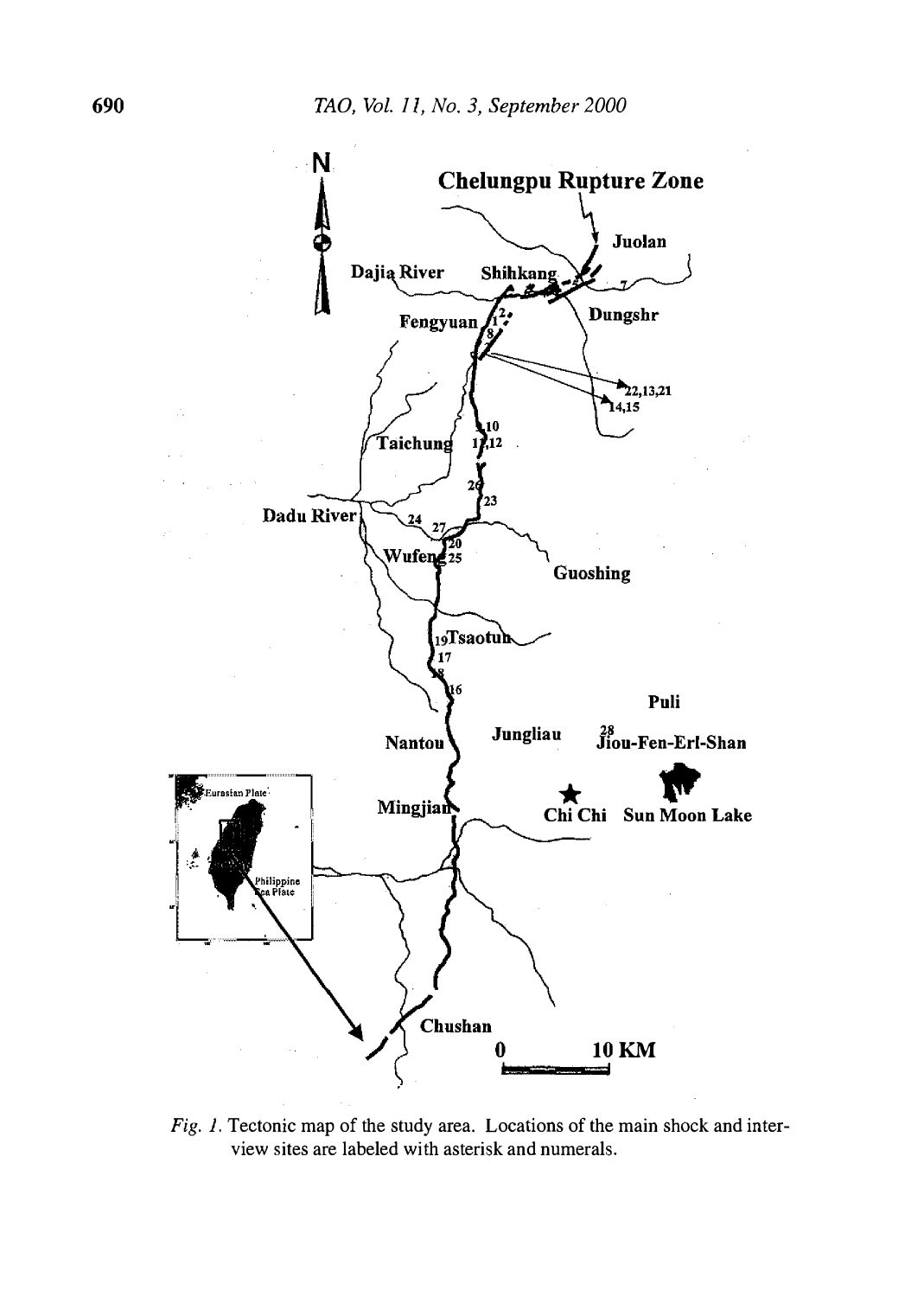

Fig. 1. Tectonic map of the study area. Locations of the main shock and interview sites are labeled with asterisk and numerals.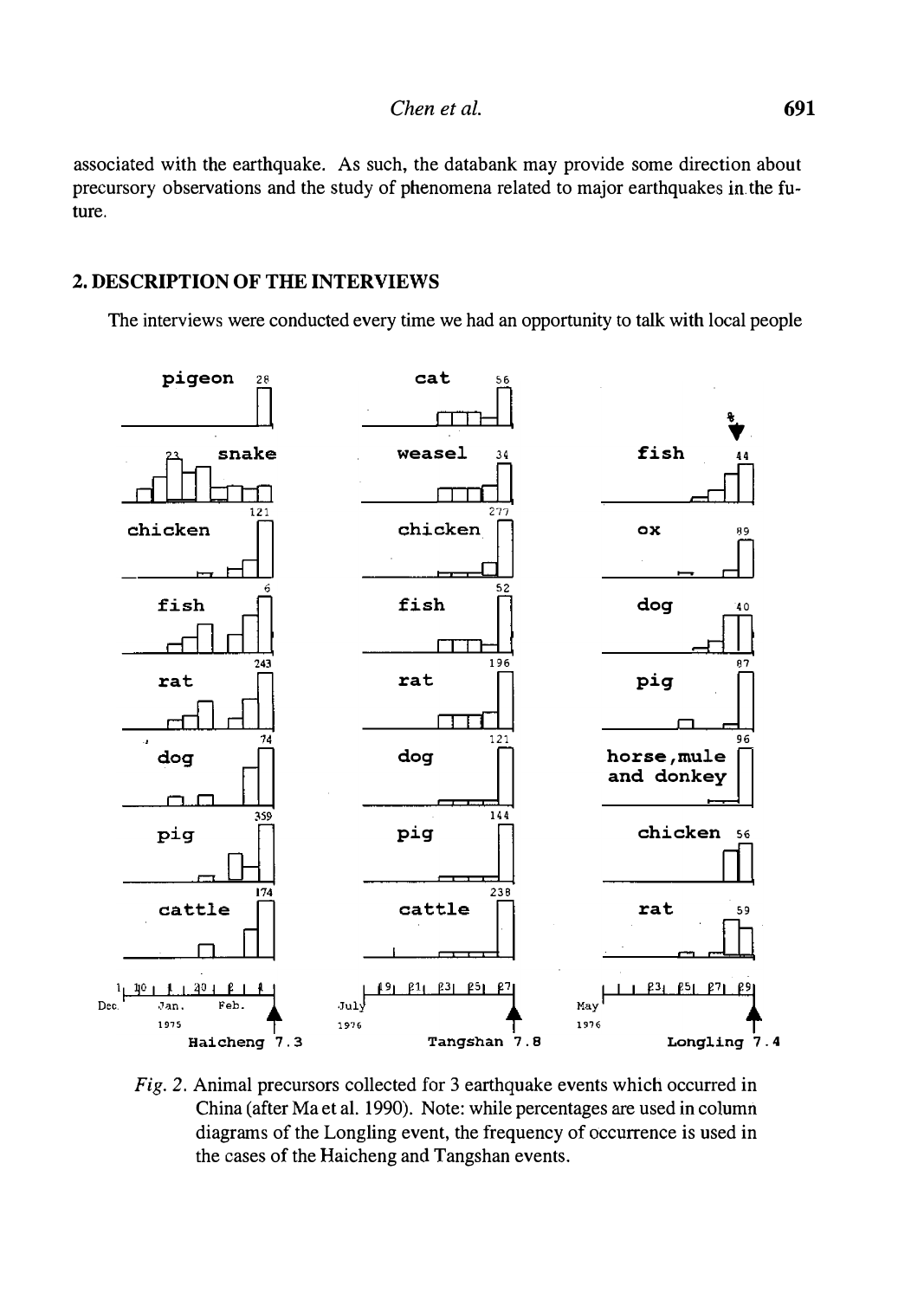associated with the earthquake. As such, the databank may provide some direction about precursory observations and the study of phenomena related to major earthquakes in. the future.

#### 2. DESCRIPTION OF THE INTERVIEWS

The interviews were conducted every time we had an opportunity to talk with local people



Fig. 2. Animal precursors collected for 3 earthquake events which occurred in China (after Ma et al. 1990). Note: while percentages are used in column diagrams of the Longling event, the frequency of occurrence is used in the cases of the Haicheng and Tangshan events.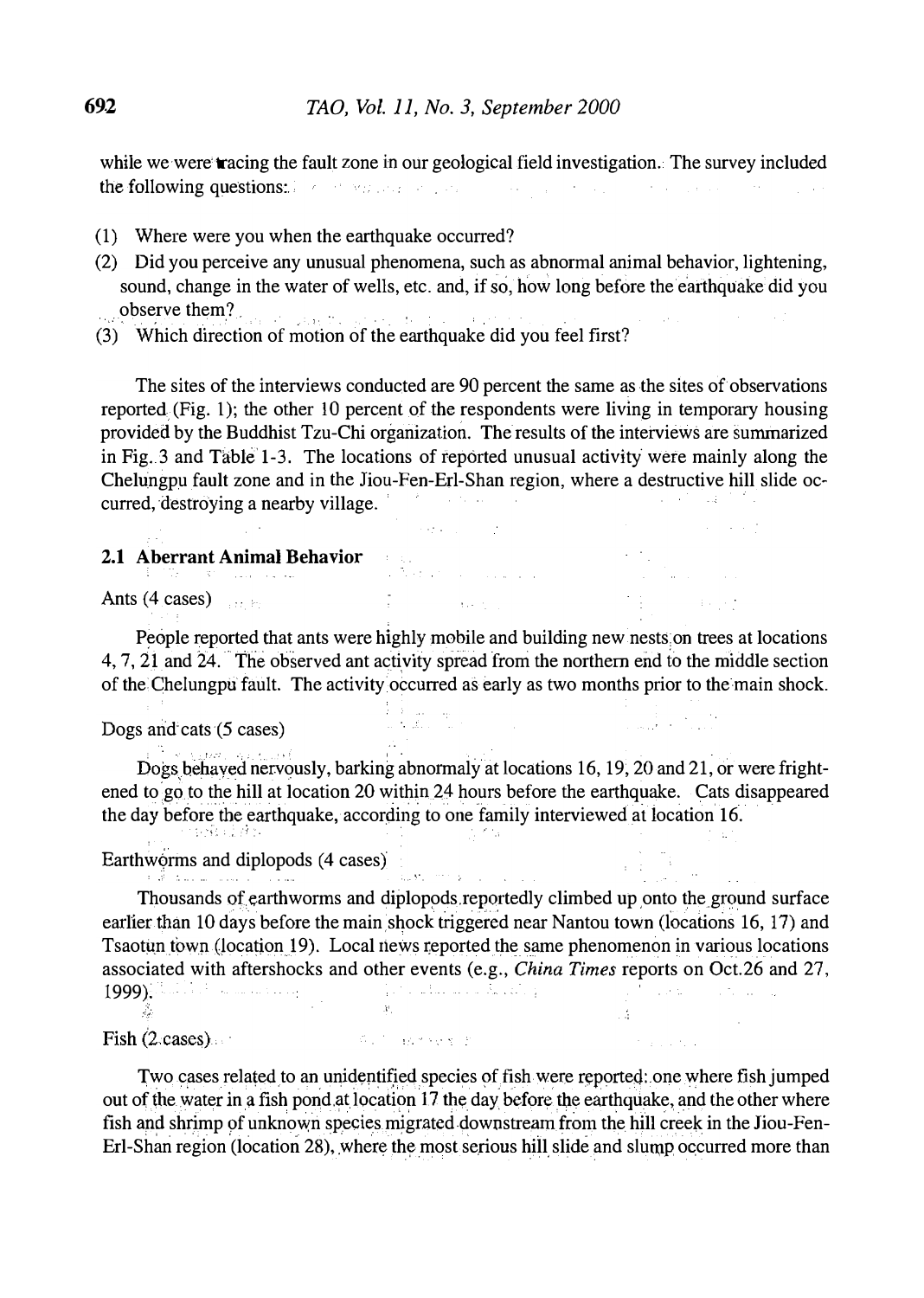while we were tracing the fault zone in our geological field investigation. The survey included the following questions: The transformation of the state of the state of the state of the state of the state of the state of the state of the state of the state of the state of the state of the state of the state of the st and the state of the

- (1) Where were you when the earthquake occurred?
- (2) Did you perceive any unusual phenomena, such as abnormal animal behavior, lightening, sound, change in the water of wells, etc. and, if so, how long before the earthquake did you observe them?<br> $\frac{1}{2}$
- , (3) Which direction of motion of the earthquake did you feel first?

The sites of the interviews conducted are 90 percent the same as the sites of observations reported (Fig. l); the other 10 percent of the respondents were living in temporary housing provided by the Buddhist Tzu-Chi organization. The results of the interviews are summarized in Fig. 3 and Table  $1-3$ . The locations of reported unusual activity were mainly along the Chelungpu fault zone and in the Jiou-Fen-Erl-Shan region, where a destructive hill slide occurred, destroying a nearby village. '

#### 2.1 Aberrant Animal Behavior

Ants  $(4 \text{ cases})$ 

People reported that ants were highly mobile and building new nests on trees at locations 4, 7, 21 and 24. The observed ant activity spread from the northern end to the middle section of the Chelungpu fault. The activity occurred as early as two months prior to the main shock.

 $\mathbf{z} = \mathbf{z} + \mathbf{z}$  .

 $\sim 10^{11}$  km  $^{-1}$ 

 $\sim 4^\circ$ 

#### Dogs and cats (5 cases)

Dogs behaved nervously, barking abnormaly at locations 16, 19, 20 and 21, or were frightened to go to the hill at location 20 within 24 hours before the earthquake. Cats disappeared the day before the earthquake, according to one family interviewed at location 16.  $\frac{1}{2}$  ,  $\frac{1}{2}$  ,  $\frac{1}{2}$  ,  $\frac{1}{2}$  ,  $\frac{1}{2}$  ,

# Earthworms and diplopods (4 cases)

�. JI

Thousands of earthworms and diplopods reportedly climbed up onto the ground surface earlier than 10 days before the main shock triggered near Nantou town (locations 16, 17) and Tsaotun town (location 19). Local news reported the same phenomenon in various locations associated with aftershocks and other events (e.g., China Times reports on Oct.26 and 27, 1999): ' '

**Service State** 

#### $\text{Fish} (2 \cdot \text{cases})$

 $\mathcal{L}$ 

Two cases related to an unidentified species of fish were reported: one where fish jumped out of the water in a fish pond at location 17 the day before the earthquake, and the other where fish and shrimp of unknown species migrated downstream from the hill creek in the Jiou-Fen-Erl-Shan region (location 28), where the most serious hill slide and slump occurred more than

SALT BARNER B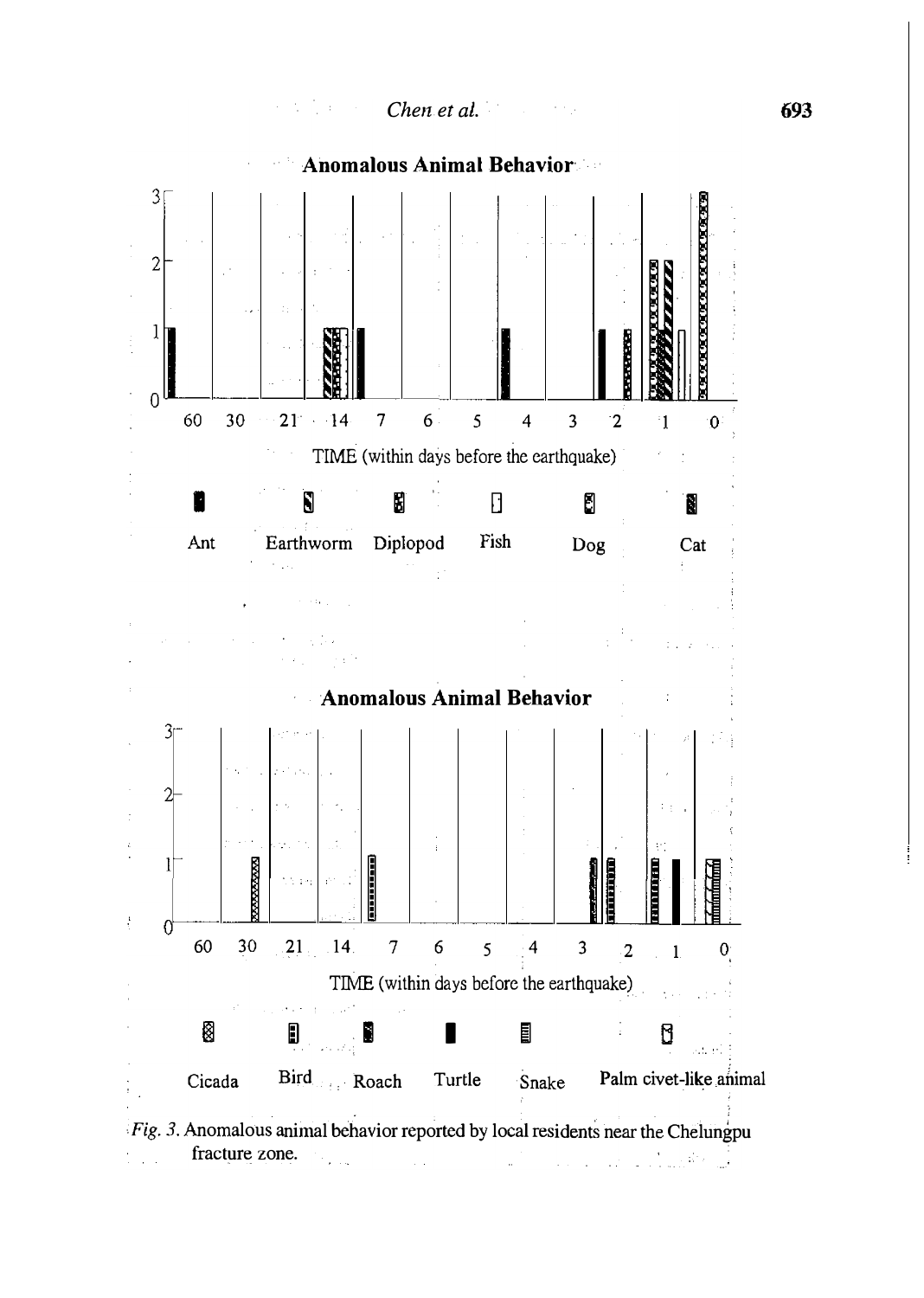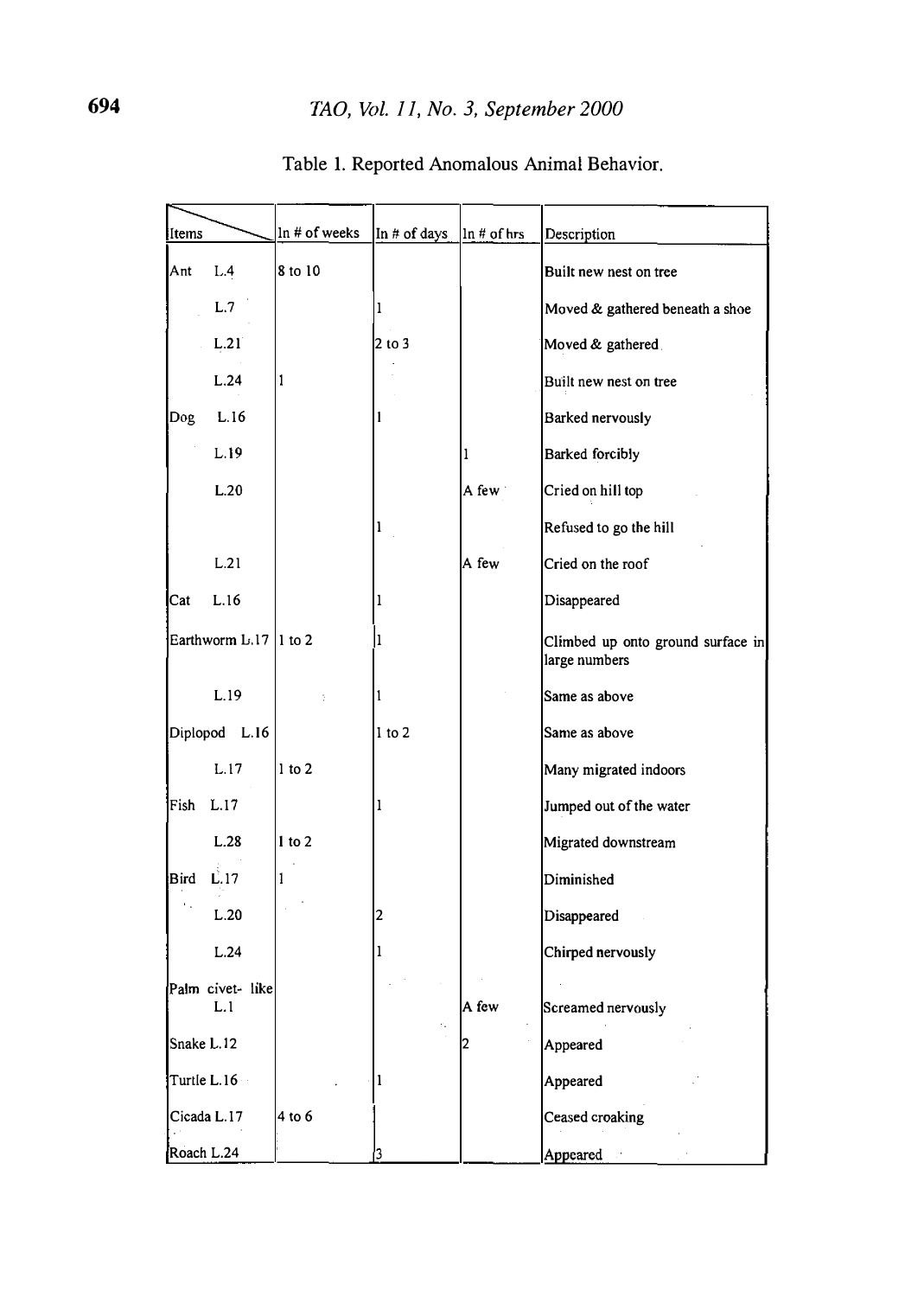| Items                   |                         | $ln$ # of weeks | In # of days | $\ln$ # of hrs | Description                                        |
|-------------------------|-------------------------|-----------------|--------------|----------------|----------------------------------------------------|
| Ant                     | L.4                     | 8 to 10         |              |                | Built new nest on tree                             |
|                         | L.7                     |                 | 1            |                | Moved & gathered beneath a shoe                    |
|                         | L.21                    |                 | 2 to 3       |                | Moved & gathered                                   |
|                         | L.24                    | 1               |              |                | Built new nest on tree                             |
| Dog.                    | L.16                    |                 |              |                | Barked nervously                                   |
|                         | L.19                    |                 |              | 1              | Barked forcibly                                    |
|                         | L.20                    |                 |              | A few          | Cried on hill top                                  |
|                         |                         |                 | ı            |                | Refused to go the hill                             |
|                         | L.21                    |                 |              | A few          | Cried on the roof                                  |
| Cat                     | L.16                    |                 | 1            |                | Disappeared                                        |
| Earthworm $L117$ 1 to 2 |                         |                 | 1            |                | Climbed up onto ground surface in<br>large numbers |
|                         | L.19                    |                 | 1            |                | Same as above                                      |
| Diplopod L.16           |                         |                 | $1$ to $2$   |                | Same as above                                      |
|                         | L.17                    | $1$ to $2$      |              |                | Many migrated indoors                              |
| Fish L.17               |                         |                 | 1            |                | Jumped out of the water                            |
|                         | L.28                    | $1$ to $2$      |              |                | Migrated downstream                                |
| Bird L.17               |                         | 1               |              |                | Diminished                                         |
|                         | L.20                    |                 | 2            |                | Disappeared                                        |
|                         | L.24                    |                 | 1            |                | Chirped nervously                                  |
|                         | Palm civet- like<br>L.1 |                 |              | A few          | Screamed nervously                                 |
| Snake L.12              |                         |                 |              | 2              | Appeared                                           |
| Turtle L.16             |                         |                 |              |                | Appeared                                           |
| Cicada L.17             |                         | 4 to 6          |              |                | Ceased croaking                                    |
| Roach L.24              |                         |                 | 3            |                | Appeared a                                         |

## Table 1. Reported Anomalous Animal Behavior.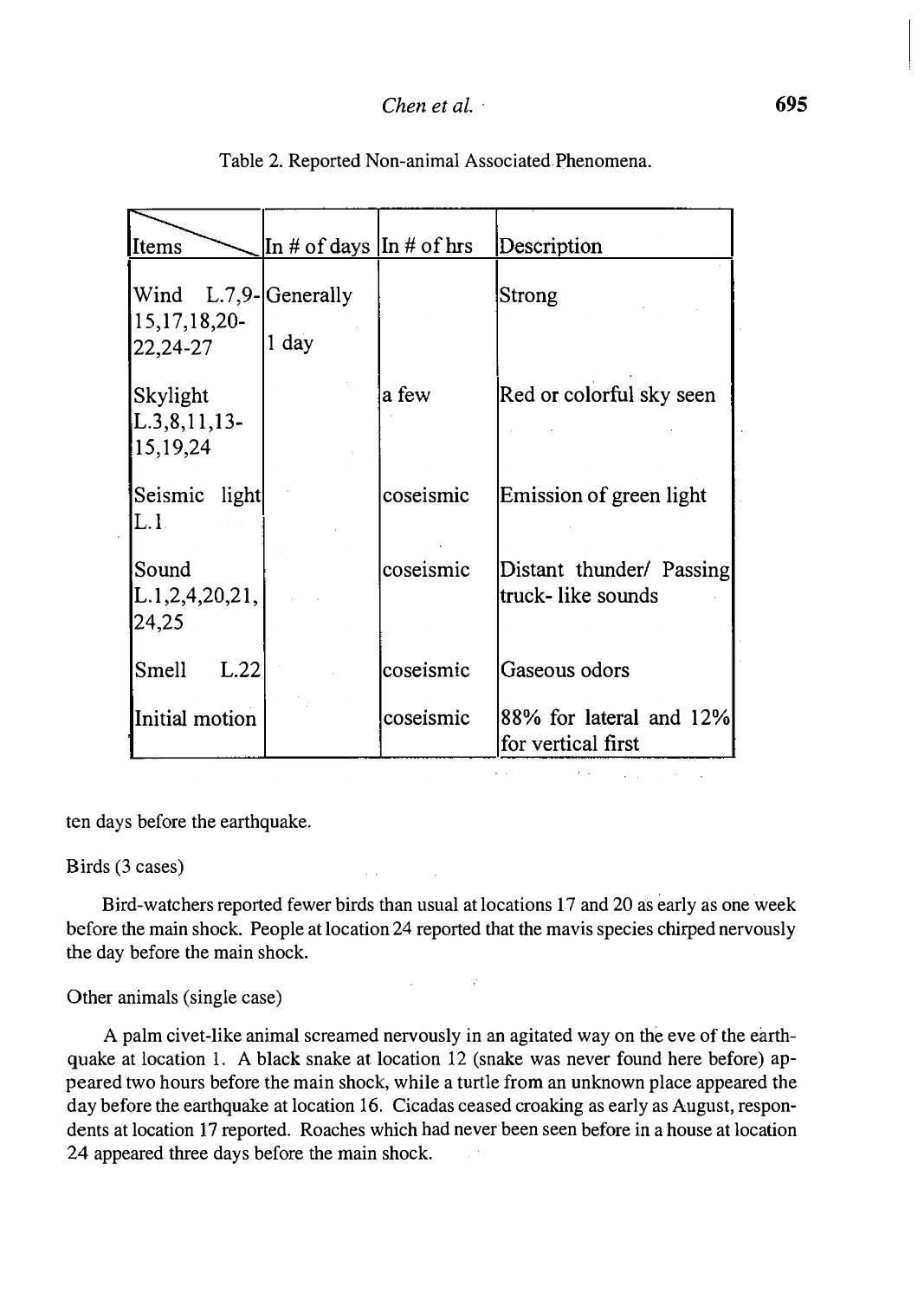| Items                                      | In # of days $ In # of hrs $ |           | Description                                   |
|--------------------------------------------|------------------------------|-----------|-----------------------------------------------|
| Wind L.7,9-Generally<br>$15, 17, 18, 20$ - |                              |           | Strong                                        |
| 22,24-27                                   | 1 day                        |           |                                               |
| Skylight<br>$[L.3, 8, 11, 13-$<br>15,19,24 |                              | a few     | Red or colorful sky seen                      |
| Seismic light<br>L.I.                      |                              | coseismic | Emission of green light                       |
| Sound<br>L.1,2,4,20,21,<br>24,25           |                              | coseismic | Distant thunder/ Passing<br>truck-like sounds |
| Smell<br>L.22                              |                              | coseismic | Gaseous odors                                 |
| Initial motion                             |                              | coseismic | 88% for lateral and 12%<br>for vertical first |

Table 2. Reported Non-animal Associated Phenomena.

ten days before the earthquake.

#### Birds (3 cases)

Bird-watchers reported fewer birds than usual at locations 17 and 20 as early as one week before the main shock. People at location 24 reported that the mavis species chirped nervously the day before the main shock.

 $\mathbb{R}^2$ 

#### Other animals (single case)

A palm civet-like animal screamed nervously in an agitated way on the eve of the earthquake at location 1. A black snake at location 12 (snake was never found here before) appeared two hours before the main shock, while a turtle from an unknown place appeared the day before the earthquake at location 16. Cicadas ceased croaking as early as August, respondents at location 17 reported. Roaches which had never been seen before in a house at location 24 appeared three days before the main shock.

 $\overline{\phantom{a}}$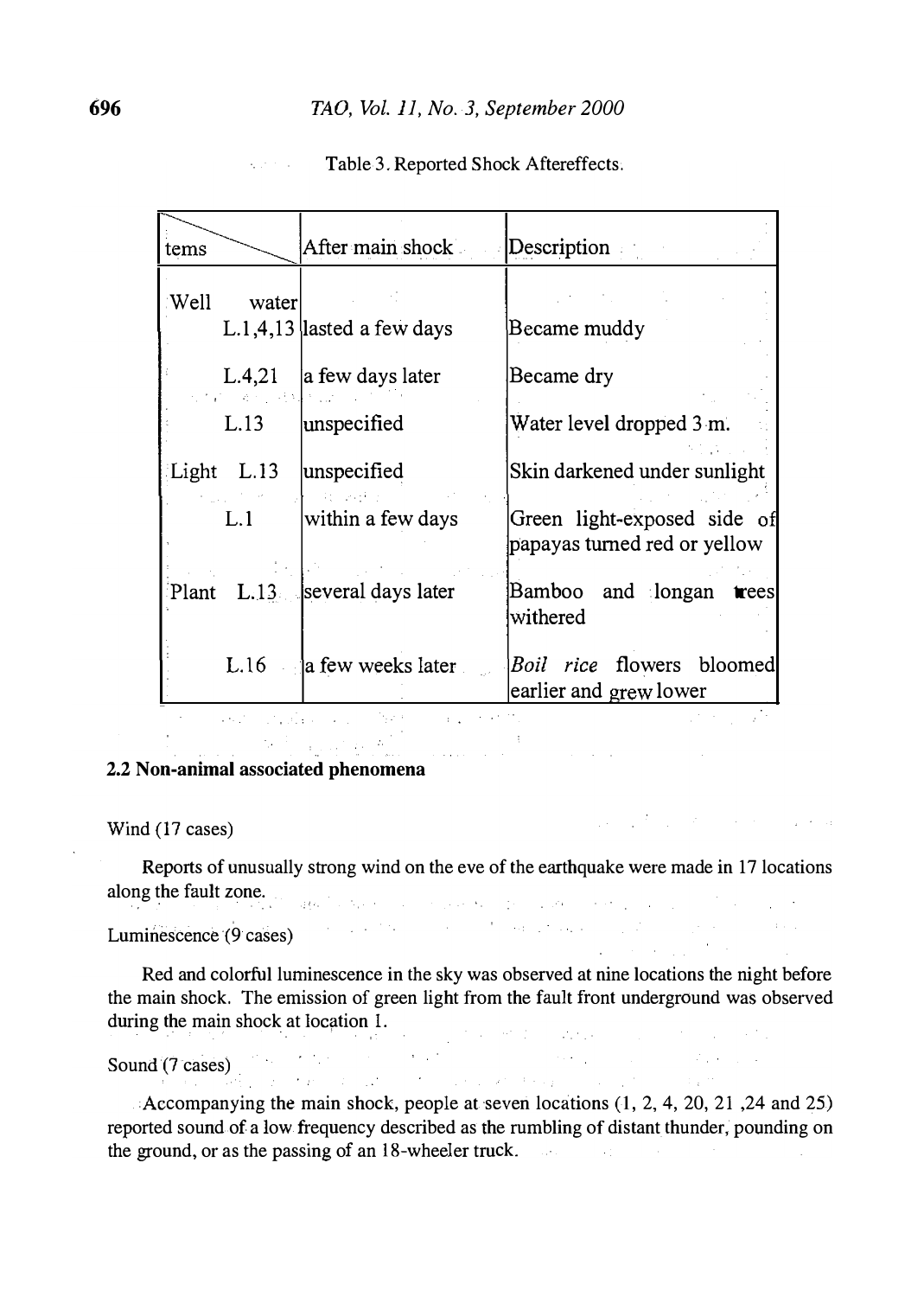| tems |            | After main shock                | Description                                                 |
|------|------------|---------------------------------|-------------------------------------------------------------|
| Well | water      | $L.1,4.13$ lasted a few days    | Became muddy                                                |
|      | 그 코드 코치    | L.4,21 $\vert$ a few days later | Became dry                                                  |
|      | L.13       | unspecified                     | Water level dropped 3 m.                                    |
|      | Light L.13 | unspecified                     | Skin darkened under sunlight                                |
|      | L.1        | within a few days               | Green light-exposed side of<br>papayas turned red or yellow |
|      |            | Plant L.13  several days later  | Bamboo and longan<br>trees<br>withered                      |
|      |            | $L.16$ a few weeks later        | <i>Boil rice</i> flowers bloomed<br>earlier and grew lower  |
|      |            |                                 |                                                             |

#### Table 3. Reported Shock Aftereffects.  $\mathcal{L}(\mathcal{D})$  and  $\mathcal{L}(\mathcal{D})$  .

#### $\label{eq:2} \mathcal{D}^{(1)} = \mathcal{D}^{(1)} \otimes \mathcal{D}^{(2)} \otimes \mathcal{D}^{(1)} \otimes \mathcal{D}^{(2)}$  $\frac{1}{\sqrt{2\pi}\left(1+\sqrt{2\pi}\right)}\left(\frac{1}{\sqrt{2\pi}}\right)^{\frac{1}{2}}$ 2.2 Non-animal associated phenomena

Wind (17 cases)

 $-214.21$ 

ina<br>Maria Martin

Reports of unusually strong wind on the eve of the earthquake were made in 17 locations along the fault zone.  $\sim 10^{11}$  km s  $^{-1}$ 

Luminescence (9 cases)

Red and colorful luminescence in the sky was observed at nine locations the night before the main shock. The emission of green light from the fault front underground was observed during the main shock at location 1. provided the way of the complete sta-

 $\mathcal{L}_{\text{max}}$  .

 $\mathcal{L}_{\text{max}}$  and  $\mathcal{L}_{\text{max}}$ 

 $\hat{p}$  , where  $\hat{p}$  is a  $\hat{p}$  -such that  $\hat{p}$  is a set of the space of  $\hat{p}$ 

Sound  $(7 \text{ cases})$ 

Accompanying the main shock, people at seven locations (1, 2, 4, 20, 21, 24 and 25) reported sound of a low frequency described as the rumbling of distant thunder, pounding on the ground, or as the passing of an 18-wheeler truck.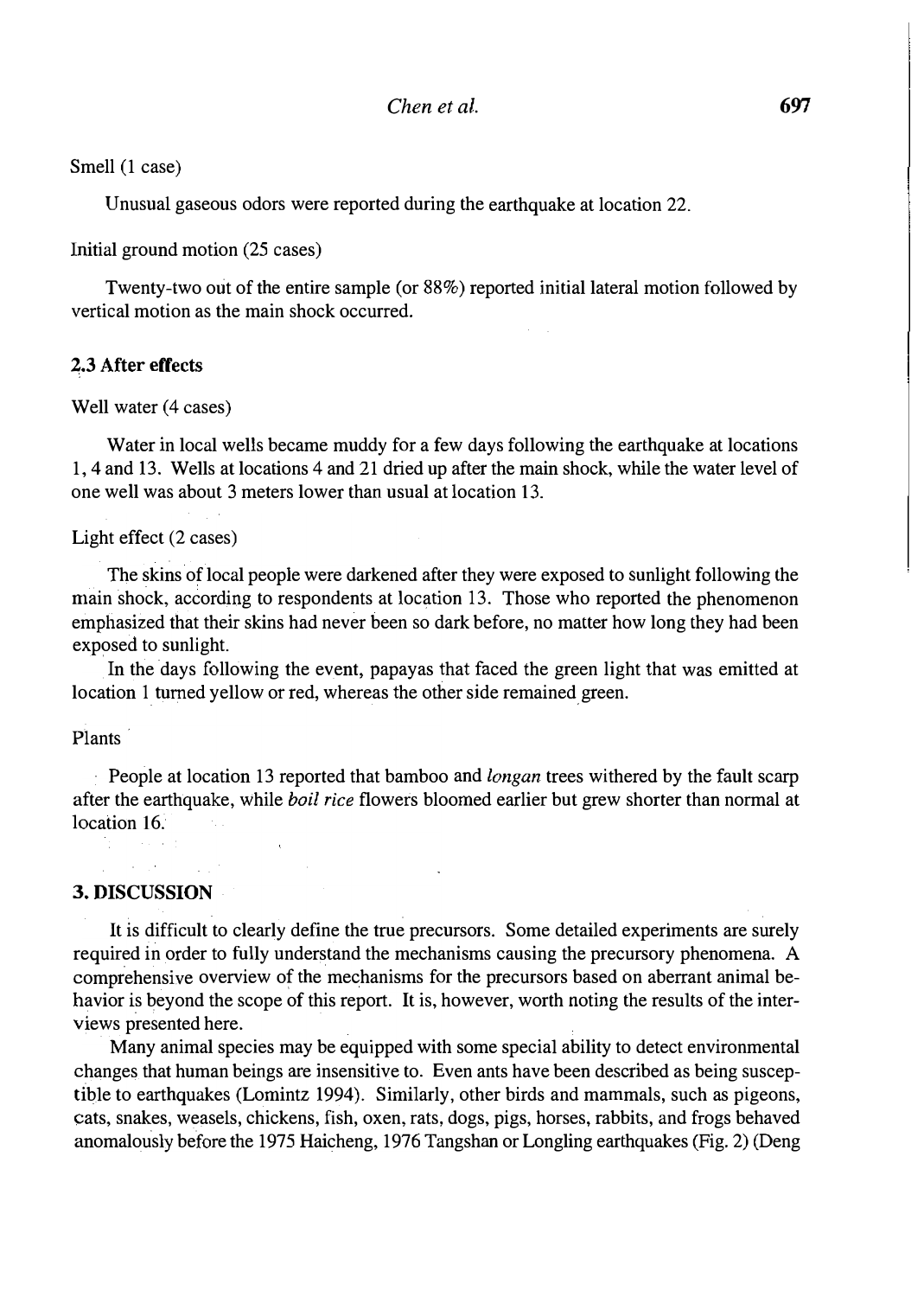Smell (1 case)

Unusual gaseous odors were reported during the earthquake at location 22.

Initial ground motion (25 cases)

Twenty-two out of the entire sample (or 88%) reported initial lateral motion followed by vertical motion as the main shock occurred.

#### 2.3 After effects

Well water (4 cases)

Water in local wells became muddy for a few days following the earthquake at locations 1, 4 and 13. Wells at locations 4 and 21 dried up after the main shock, while the water level of one well was about 3 meters lower than usual at location 13.

#### Light effect (2 cases)

The skins of local people were darkened after they were exposed to sunlight following the main shock, according to respondents at location 13. Those who reported the phenomenon emphasized that their skins had never been so dark before, no matter how long they had been exposed to sunlight.

In the days following the event, papayas that faced the green light that was emitted at location 1 turned yellow or red, whereas the other side remained green.

Plants·

People at location 13 reported that bamboo and *longan* trees withered by the fault scarp after the earthquake, while boil rice flowers bloomed earlier but grew shorter than normal at location 16.

### $\Delta \sim 100$ 3. DISCUSSION

It is difficult to clearly define the true precursors. Some detailed experiments are surely required in order to fully understand the mechanisms causing the precursory phenomena. A comprehensive overview of the mechanisms for the precursors based on aberrant animal behavior is beyond the scope of this report. It is, however, worth noting the results of the interviews presented here.

Many animal species may be equipped with some special ability to detect environmental changes that human beings are insensitive to. Even ants have been described as being susceptible to earthquakes (Lomintz 1994). Similarly, other birds and mammals, such as pigeons, cats, snakes, weasels, chickens, fish, oxen, rats, dogs, pigs, horses, rabbits, and frogs behaved anomalously before the 1975 Haicheng, 1976 Tangshan or Longling earthquakes (Fig. 2) (Deng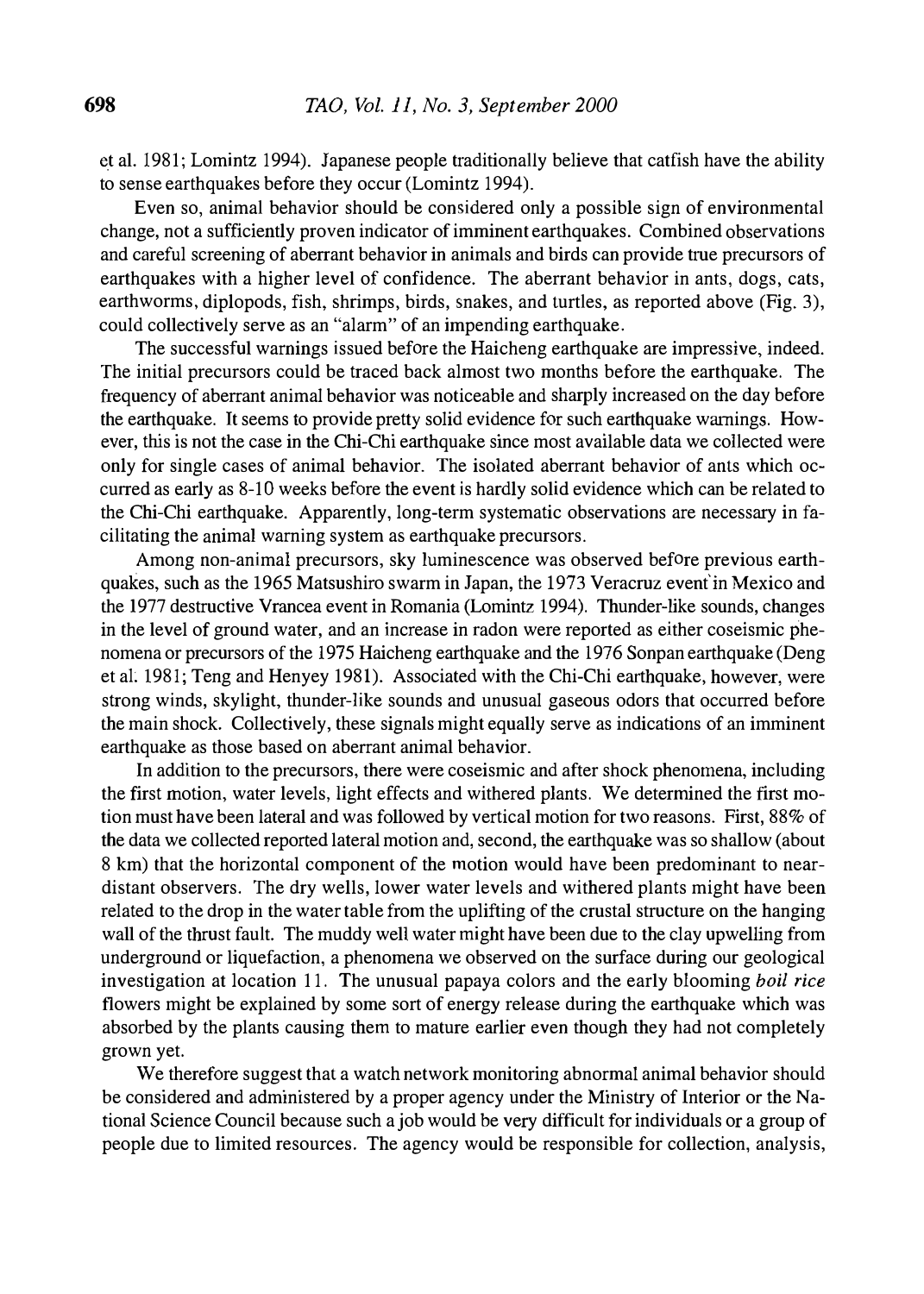et al. 1981; Lomintz 1994). Japanese people traditionally believe that catfish have the ability to sense earthquakes before they occur (Lomintz 1994).

Even so, animal behavior should be considered only a possible sign of environmental change, not a sufficiently proven indicator of imminent earthquakes. Combined observations and careful screening of aberrant behavior in animals and birds can provide true precursors of earthquakes with a higher level of confidence. The aberrant behavior in ants, dogs, cats, earthworms, diplopods, fish, shrimps, birds, snakes, and turtles, as reported above (Fig. 3), could collectively serve as an "alarm" of an impending earthquake.

The successful warnings issued before the Haicheng earthquake are impressive, indeed. The initial precursors could be traced back almost two months before the earthquake. The frequency of aberrant animal behavior was noticeable and sharply increased on the day before the earthquake. It seems to provide pretty solid evidence for such earthquake warnings. However, this is not the case in the Chi-Chi earthquake since most available data we collected were only for single cases of animal behavior. The isolated aberrant behavior of ants which occurred as early as 8-10 weeks before the event is hardly solid evidence which can be related to the Chi-Chi earthquake. Apparently, long-term systematic observations are necessary in facilitating the animal warning system as earthquake precursors.

Among non-animal precursors, sky luminescence was observed before previous earthquakes, such as the 1965 Matsushiro swarm in Japan, the 1973 Veracruz event' in Mexico and the 1977 destructive Vrancea event in Romania (Lomintz 1994). Thunder-like sounds, changes in the level of ground water, and an increase in radon were reported as either coseismic phenomena or precursors of the 1975 Haicheng earthquake and the 1976 Sonpan earthquake (Deng et al. 1981; Teng and Henyey 1981). Associated with the Chi-Chi earthquake, however, were strong winds, skylight, thunder-like sounds and unusual gaseous odors that occurred before the main shock. Collectively, these signals might equally serve as indications of an imminent earthquake as those based on aberrant animal behavior.

In addition to the precursors, there were coseismic and after shock phenomena, including the first motion, water levels, light effects and withered plants. We determined the first motion must have been lateral and was followed by vertical motion for two reasons. First, 88% of the data we collected reported lateral motion and, second, the earthquake was so shallow (about 8 km) that the horizontal component of the motion would have been predominant to neardistant observers. The dry wells, lower water levels and withered plants might have been related to the drop in the water table from the uplifting of the crustal structure on the hanging wall of the thrust fault. The muddy well water might have been due to the clay upwelling from underground or liquefaction, a phenomena we observed on the surface during our geological investigation at location 11. The unusual papaya colors and the early blooming boil rice flowers might be explained by some sort of energy release during the earthquake which was absorbed by the plants causing them to mature earlier even though they had not completely grown yet.

We therefore suggest that a watch network monitoring abnormal animal behavior should be considered and administered by a proper agency under the Ministry of Interior or the National Science Council because such a job would be very difficult for individuals or a group of people due to limited resources. The agency would be responsible for collection, analysis,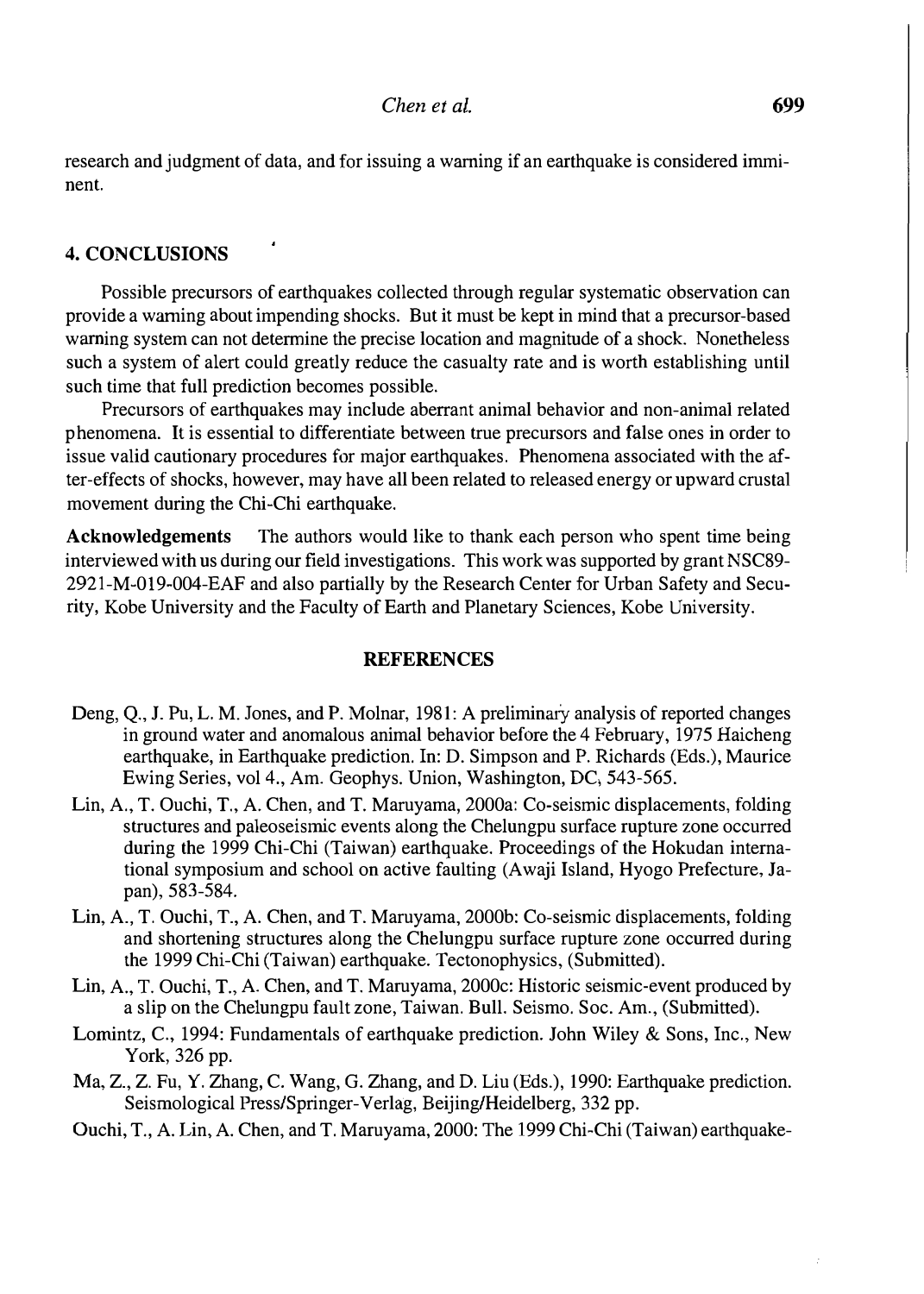research and judgment of data, and for issuing a warning if an earthquake is considered imminent.

### 4. CONCLUSIONS

Possible precursors of earthquakes collected through regular systematic observation can provide a warning about impending shocks. But it must be kept in mind that a precursor-based warning system can not determine the precise location and magnitude of a shock. Nonetheless such a system of alert could greatly reduce the casualty rate and is worth establishing until such time that full prediction becomes possible.

Precursors of earthquakes may include aberrant animal behavior and non-animal related phenomena. It is essential to differentiate between true precursors and false ones in order to issue valid cautionary procedures for major earthquakes. Phenomena associated with the after-effects of shocks, however, may have all been related to released energy or upward crustal movement during the Chi-Chi earthquake.

Acknowledgements The authors would like to thank each person who spent time being interviewed with us during our field investigations. This work was supported by grant NSC89- 2921-M-019-004-EAF and also partially by the Research Center for Urban Safety and Security, Kobe University and the Faculty of Earth and Planetary Sciences, Kobe University.

### **REFERENCES**

- Deng, Q., J. Pu, L. M. Jones, and P. Molnar, 1981: A preliminary analysis of reported changes in ground water and anomalous animal behavior before the 4 February, 1975 Haicheng earthquake, in Earthquake prediction. In: D. Simpson and P. Richards (Eds.), Maurice Ewing Series, vol 4., Am. Geophys. Union, Washington, DC, 543-565.
- Lin, A., T. Ouchi, T., A. Chen, and T. Maruyama, 2000a: Co-seismic displacements, folding structures and paleoseismic events along the Chelungpu surface rupture zone occurred during the 1999 Chi-Chi (Taiwan) earthquake. Proceedings of the Hokudan international symposium and school on active faulting (Awaji Island, Hyogo Prefecture, Japan), 583-584.
- Lin, A., T. Ouchi, T., A. Chen, and T. Maruyama, 2000b: Co-seismic displacements, folding and shortening structures along the Chelungpu surface rupture zone occurred during the 1999 Chi-Chi (Taiwan) earthquake. Tectonophysics, (Submitted).
- Lin, A., T. Ouchi, T., A. Chen, and T. Maruyama, 2000c: Historic seismic-event produced by a slip on the Chelungpu fault zone, Taiwan. Bull. Seismo. Soc. Am., (Submitted).
- Lomintz, C., 1994: Fundamentals of earthquake prediction. John Wiley & Sons, Inc., New York, 326 pp.
- Ma, Z., Z. Fu, Y. Zhang, C. Wang, G. Zhang, and D. Liu (Eds.), 1990: Earthquake prediction. Seismological Press/Springer-Verlag, Beijing/Heidelberg, 332 pp.
- Ouchi, T., A. Lin, A. Chen, and T. Maruyama, 2000: The 1999 Chi-Chi (Taiwan) earthquake-